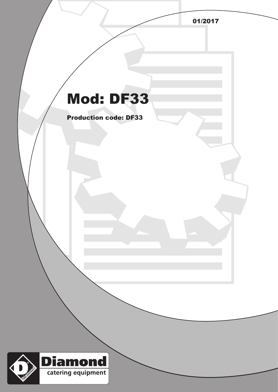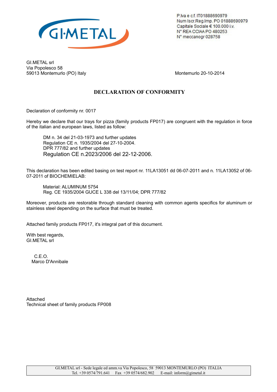

P.lva e c.f. IT01888690979 Num Iscr.Reg.Imp. PO 01888690979 Capitale Sociale € 100.000 i.v. N° REA CCIAA PO 480253 N° meccanogr 028758

GI.METAL srl Via Popolesco 58 59013 Montemurlo (PO) Italy Montemurlo 20-10-2014

## **DECLARATION OF CONFORMITY**

Declaration of conformity nr. 0017

Hereby we declare that our trays for pizza (family products FP017) are congruent with the regulation in force of the italian and european laws, listed as follow:

DM n. 34 del 21-03-1973 and further updates Regulation CE n. 1935/2004 del 27-10-2004. DPR 777/82 and further updates Regulation CE n.2023/2006 del 22-12-2006.

This declaration has been edited basing on test report nr. 11LA13051 dd 06-07-2011 and n. 11LA13052 of 06- 07-2011 of BIOCHEMIELAB:

Material: ALUMINUM 5754 Reg. CE 1935/2004 GUCE L 338 del 13/11/04; DPR 777/82

Moreover, products are restorable through standard cleaning with common agents specifics for aluminum or stainless steel depending on the surface that must be treated.

Attached family products FP017, it's integral part of this document.

With best regards, GI.METAL srl

> C.E.O. Marco D'Annibale

Attached Technical sheet of family products FP008